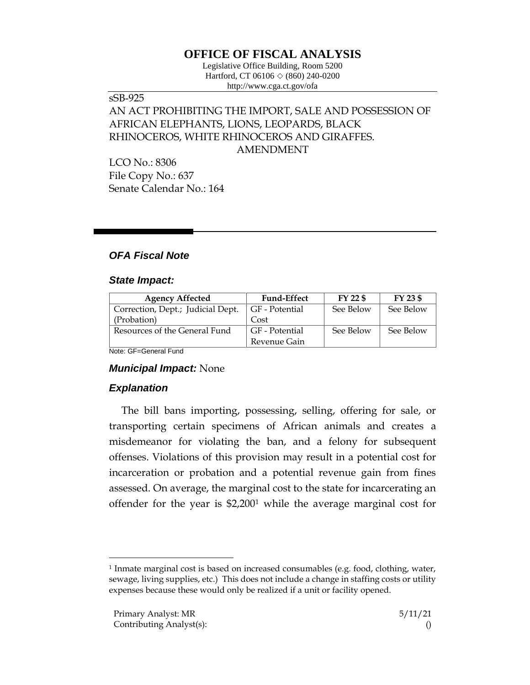# **OFFICE OF FISCAL ANALYSIS**

Legislative Office Building, Room 5200 Hartford, CT 06106  $\Diamond$  (860) 240-0200 http://www.cga.ct.gov/ofa

# sSB-925 AN ACT PROHIBITING THE IMPORT, SALE AND POSSESSION OF AFRICAN ELEPHANTS, LIONS, LEOPARDS, BLACK RHINOCEROS, WHITE RHINOCEROS AND GIRAFFES. AMENDMENT

LCO No.: 8306 File Copy No.: 637 Senate Calendar No.: 164

## *OFA Fiscal Note*

#### *State Impact:*

| <b>Agency Affected</b>            | <b>Fund-Effect</b> | $FY$ 22 \$ | FY 23 \$  |
|-----------------------------------|--------------------|------------|-----------|
| Correction, Dept.; Judicial Dept. | GF - Potential     | See Below  | See Below |
| (Probation)                       | Cost               |            |           |
| Resources of the General Fund     | GF - Potential     | See Below  | See Below |
|                                   | Revenue Gain       |            |           |

Note: GF=General Fund

### *Municipal Impact:* None

### *Explanation*

The bill bans importing, possessing, selling, offering for sale, or transporting certain specimens of African animals and creates a misdemeanor for violating the ban, and a felony for subsequent offenses. Violations of this provision may result in a potential cost for incarceration or probation and a potential revenue gain from fines assessed. On average, the marginal cost to the state for incarcerating an offender for the year is \$2,200<sup>1</sup> while the average marginal cost for

 $\overline{a}$ 

<sup>1</sup> Inmate marginal cost is based on increased consumables (e.g. food, clothing, water, sewage, living supplies, etc.) This does not include a change in staffing costs or utility expenses because these would only be realized if a unit or facility opened.